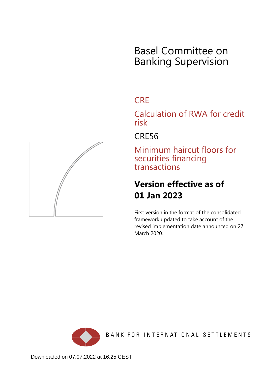# Basel Committee on Banking Supervision

## **CRE**

Calculation of RWA for credit risk

## CRE56

Minimum haircut floors for securities financing transactions

# **Version effective as of 01 Jan 2023**

First version in the format of the consolidated framework updated to take account of the revised implementation date announced on 27 March 2020.



BANK FOR INTERNATIONAL SETTLEMENTS

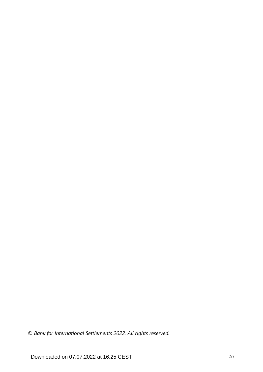*© Bank for International Settlements 2022. All rights reserved.*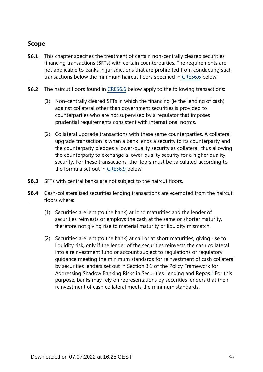## **Scope**

- This chapter specifies the treatment of certain non-centrally cleared securities financing transactions (SFTs) with certain counterparties. The requirements are not applicable to banks in jurisdictions that are prohibited from conducting such transactions below the minimum haircut floors specified in [CRE56.6](https://www.bis.org/basel_framework/chapter/CRE/56.htm?inforce=20230101&published=20200327#paragraph_CRE_56_20230101_56_6) below. **56.1**
- **56.2** The haircut floors found in [CRE56.6](https://www.bis.org/basel_framework/chapter/CRE/56.htm?inforce=20230101&published=20200327#paragraph_CRE_56_20230101_56_6) below apply to the following transactions:
	- (1) Non-centrally cleared SFTs in which the financing (ie the lending of cash) against collateral other than government securities is provided to counterparties who are not supervised by a regulator that imposes prudential requirements consistent with international norms.
	- (2) Collateral upgrade transactions with these same counterparties. A collateral upgrade transaction is when a bank lends a security to its counterparty and the counterparty pledges a lower-quality security as collateral, thus allowing the counterparty to exchange a lower-quality security for a higher quality security. For these transactions, the floors must be calculated according to the formula set out in [CRE56.9](https://www.bis.org/basel_framework/chapter/CRE/56.htm?inforce=20230101&published=20200327#paragraph_CRE_56_20230101_56_9) below.
- **56.3** SFTs with central banks are not subject to the haircut floors.
- <span id="page-2-0"></span>Cash-collateralised securities lending transactions are exempted from the haircut floors where: **56.4**
	- (1) Securities are lent (to the bank) at long maturities and the lender of securities reinvests or employs the cash at the same or shorter maturity, therefore not giving rise to material maturity or liquidity mismatch.
	- (2) Securities are lent (to the bank) at call or at short maturities, giving rise to liquidity risk, only if the lender of the securities reinvests the cash collateral into a reinvestment fund or account subject to regulations or regulatory guidance meeting the minimum standards for reinvestment of cash collateral by securities lenders set out in Section 3.1 of the Policy Framework for Addressing Shadow Banking Risks in Securities Lending and Repos. $<sup>1</sup>$  $<sup>1</sup>$  $<sup>1</sup>$  For this</sup> purpose, banks may rely on representations by securities lenders that their reinvestment of cash collateral meets the minimum standards.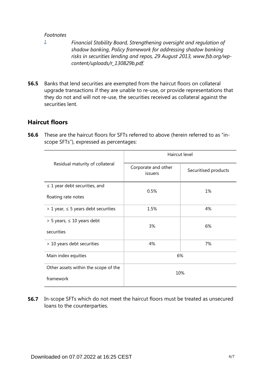#### *Footnotes*

<span id="page-3-0"></span>*[1](#page-2-0)*

- *Financial Stability Board, Strengthening oversight and regulation of shadow banking, Policy framework for addressing shadow banking risks in securities lending and repos, 29 August 2013, www.fsb.org/wpcontent/uploads/r\_130829b.pdf.*
- Banks that lend securities are exempted from the haircut floors on collateral upgrade transactions if they are unable to re-use, or provide representations that they do not and will not re-use, the securities received as collateral against the securities lent. **56.5**

### **Haircut floors**

**56.6** These are the haircut floors for SFTs referred to above (herein referred to as "inscope SFTs"), expressed as percentages:

|                                            | Haircut level                  |                      |  |
|--------------------------------------------|--------------------------------|----------------------|--|
| Residual maturity of collateral            | Corporate and other<br>issuers | Securitised products |  |
| $\leq$ 1 year debt securities, and         | 0.5%                           | 1%                   |  |
| floating rate notes                        |                                |                      |  |
| $> 1$ year, $\leq 5$ years debt securities | 1.5%                           | 4%                   |  |
| $>$ 5 years, $\leq$ 10 years debt          | 3%                             | 6%                   |  |
| securities                                 |                                |                      |  |
| > 10 years debt securities                 | 4%                             | 7%                   |  |
| Main index equities                        | 6%                             |                      |  |
| Other assets within the scope of the       | 10%                            |                      |  |
| framework                                  |                                |                      |  |

**56.7** In-scope SFTs which do not meet the haircut floors must be treated as unsecured loans to the counterparties.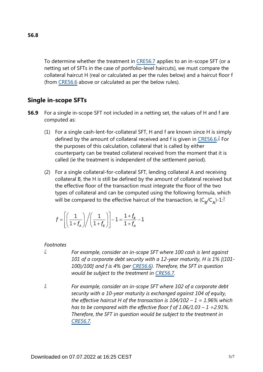To determine whether the treatment in [CRE56.7](https://www.bis.org/basel_framework/chapter/CRE/56.htm?inforce=20230101&published=20200327#paragraph_CRE_56_20230101_56_7) applies to an in-scope SFT (or a netting set of SFTs in the case of portfolio-level haircuts), we must compare the collateral haircut H (real or calculated as per the rules below) and a haircut floor f (from [CRE56.6](https://www.bis.org/basel_framework/chapter/CRE/56.htm?inforce=20230101&published=20200327#paragraph_CRE_56_20230101_56_6) above or calculated as per the below rules).

## **Single in-scope SFTs**

- <span id="page-4-2"></span>For a single in-scope SFT not included in a netting set, the values of H and f are computed as: **56.9**
	- (1) For a single cash-lent-for-collateral SFT, H and f are known since H is simply defined by the amount of collateral received and f is given in [CRE56.6.](https://www.bis.org/basel_framework/chapter/CRE/56.htm?inforce=20230101&published=20200327#paragraph_CRE_56_20230101_56_6)<sup>[2](#page-4-0)</sup> For the purposes of this calculation, collateral that is called by either counterparty can be treated collateral received from the moment that it is called (ie the treatment is independent of the settlement period).
	- (2) For a single collateral-for-collateral SFT, lending collateral A and receiving collateral B, the H is still be defined by the amount of collateral received but the effective floor of the transaction must integrate the floor of the two types of collateral and can be computed using the following formula, which will be compared to the effective haircut of the transaction, ie ( $\mathsf{C}_\mathsf{B}/\mathsf{C}_\mathsf{A}$ )-1: $^{\mathsf{\underline 3}}$  $^{\mathsf{\underline 3}}$  $^{\mathsf{\underline 3}}$

<span id="page-4-3"></span>
$$
f = \left[ \left( \frac{1}{1+f_A} \right) \middle/ \left( \frac{1}{1+f_B} \right) \right] - 1 = \frac{1+f_B}{1+f_A} - 1
$$

#### *Footnotes*

<span id="page-4-0"></span>*[2](#page-4-2)*

- *For example, consider an in-scope SFT where 100 cash is lent against 101 of a corporate debt security with a 12-year maturity, H is 1% [(101- 100)/100] and f is 4% (per [CRE56.6\)](https://www.bis.org/basel_framework/chapter/CRE/56.htm?inforce=20230101&published=20200327#paragraph_CRE_56_20230101_56_6). Therefore, the SFT in question would be subject to the treatment in [CRE56.7](https://www.bis.org/basel_framework/chapter/CRE/56.htm?inforce=20230101&published=20200327#paragraph_CRE_56_20230101_56_7).*
- <span id="page-4-1"></span>*For example, consider an in-scope SFT where 102 of a corporate debt security with a 10-year maturity is exchanged against 104 of equity, the effective haircut H of the transaction is 104/102 – 1 = 1.96% which has to be compared with the effective floor f of 1.06/1.03 – 1 =2.91%. Therefore, the SFT in question would be subject to the treatment in [CRE56.7](https://www.bis.org/basel_framework/chapter/CRE/56.htm?inforce=20230101&published=20200327#paragraph_CRE_56_20230101_56_7). [3](#page-4-3)*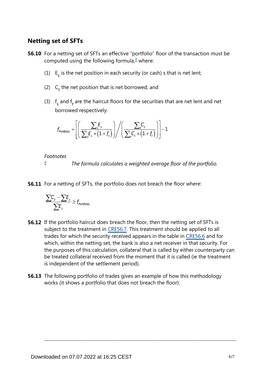### **Netting set of SFTs**

<span id="page-5-1"></span>**56.10** For a netting set of SFTs an effective "portfolio" floor of the transaction must be computed using the following formula, $4$  where:

- (1)  $E<sub>s</sub>$  is the net position in each security (or cash) s that is net lent;
- (2)  $C_t$  the net position that is net borrowed; and
- (3)  $f_s$  and  $f_t$  are the haircut floors for the securities that are net lent and net borrowed respectively.

$$
f_{\text{portfolio}} = \left[ \left( \frac{\sum_{s} F_s}{\sum_{s} F_s \times (1 + f_s)} \right) / \left( \frac{\sum_{t} C_t}{\sum_{t} C_t \times (1 + f_t)} \right) \right] - 1
$$

*Footnotes*

*The formula calculates a weighted average floor of the portfolio. [4](#page-5-1)*

<span id="page-5-0"></span>**56.11** For a netting of SFTs, the portfolio does not breach the floor where:

$$
\frac{\sum C_t - \sum E_s}{\sum E_s} \ge f_{portfolio}
$$

- **56.12** If the portfolio haircut does breach the floor, then the netting set of SFTs is subject to the treatment in [CRE56.7.](https://www.bis.org/basel_framework/chapter/CRE/56.htm?inforce=20230101&published=20200327#paragraph_CRE_56_20230101_56_7) This treatment should be applied to all trades for which the security received appears in the table in [CRE56.6](https://www.bis.org/basel_framework/chapter/CRE/56.htm?inforce=20230101&published=20200327#paragraph_CRE_56_20230101_56_6) and for which, within the netting set, the bank is also a net receiver in that security. For the purposes of this calculation, collateral that is called by either counterparty can be treated collateral received from the moment that it is called (ie the treatment is independent of the settlement period).
- **56.13** The following portfolio of trades gives an example of how this methodology works (it shows a portfolio that does not breach the floor):